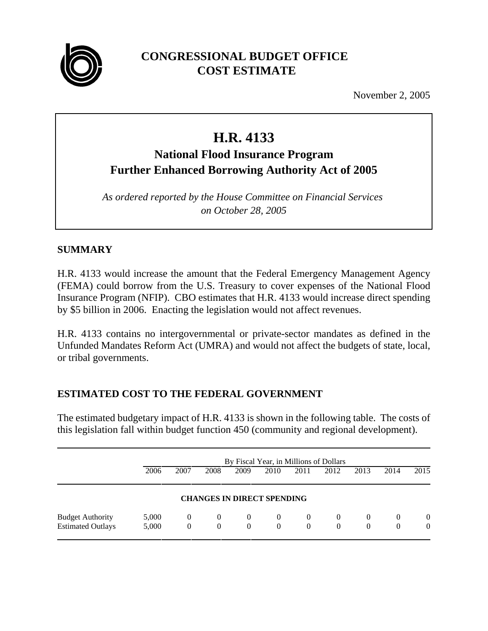

## **CONGRESSIONAL BUDGET OFFICE COST ESTIMATE**

November 2, 2005

# **H.R. 4133**

# **National Flood Insurance Program Further Enhanced Borrowing Authority Act of 2005**

*As ordered reported by the House Committee on Financial Services on October 28, 2005*

## **SUMMARY**

H.R. 4133 would increase the amount that the Federal Emergency Management Agency (FEMA) could borrow from the U.S. Treasury to cover expenses of the National Flood Insurance Program (NFIP). CBO estimates that H.R. 4133 would increase direct spending by \$5 billion in 2006. Enacting the legislation would not affect revenues.

H.R. 4133 contains no intergovernmental or private-sector mandates as defined in the Unfunded Mandates Reform Act (UMRA) and would not affect the budgets of state, local, or tribal governments.

## **ESTIMATED COST TO THE FEDERAL GOVERNMENT**

The estimated budgetary impact of H.R. 4133 is shown in the following table. The costs of this legislation fall within budget function 450 (community and regional development).

|                          | By Fiscal Year, in Millions of Dollars |          |                |          |                                   |          |          |          |          |                |
|--------------------------|----------------------------------------|----------|----------------|----------|-----------------------------------|----------|----------|----------|----------|----------------|
|                          | 2006                                   | 2007     | 2008           | 2009     | 2010                              | 2011     | 2012     | 2013     | 2014     | 2015           |
|                          |                                        |          |                |          | <b>CHANGES IN DIRECT SPENDING</b> |          |          |          |          |                |
| <b>Budget Authority</b>  | 5,000                                  | $\theta$ | $\overline{0}$ | $\Omega$ | $\Omega$                          | $\theta$ | $\theta$ | $\Omega$ | $\theta$ | $\theta$       |
| <b>Estimated Outlays</b> | 5,000                                  | $\theta$ | $\theta$       | $\Omega$ | $\theta$                          | 0        | $\Omega$ | 0        | 0        | $\overline{0}$ |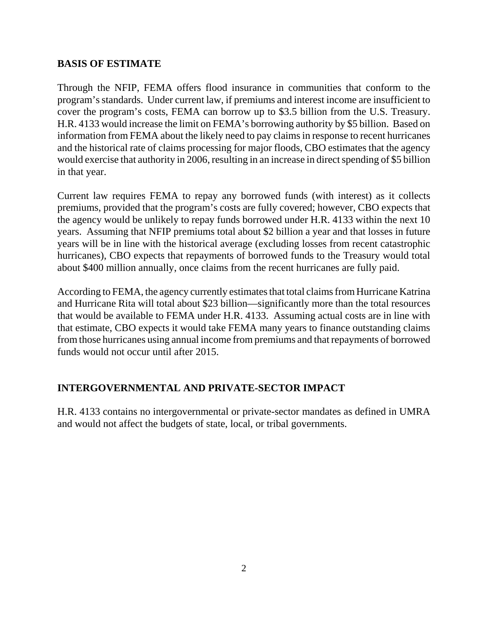#### **BASIS OF ESTIMATE**

Through the NFIP, FEMA offers flood insurance in communities that conform to the program's standards. Under current law, if premiums and interest income are insufficient to cover the program's costs, FEMA can borrow up to \$3.5 billion from the U.S. Treasury. H.R. 4133 would increase the limit on FEMA's borrowing authority by \$5 billion. Based on information from FEMA about the likely need to pay claims in response to recent hurricanes and the historical rate of claims processing for major floods, CBO estimates that the agency would exercise that authority in 2006, resulting in an increase in direct spending of \$5 billion in that year.

Current law requires FEMA to repay any borrowed funds (with interest) as it collects premiums, provided that the program's costs are fully covered; however, CBO expects that the agency would be unlikely to repay funds borrowed under H.R. 4133 within the next 10 years. Assuming that NFIP premiums total about \$2 billion a year and that losses in future years will be in line with the historical average (excluding losses from recent catastrophic hurricanes), CBO expects that repayments of borrowed funds to the Treasury would total about \$400 million annually, once claims from the recent hurricanes are fully paid.

According to FEMA, the agency currently estimates that total claims from Hurricane Katrina and Hurricane Rita will total about \$23 billion—significantly more than the total resources that would be available to FEMA under H.R. 4133. Assuming actual costs are in line with that estimate, CBO expects it would take FEMA many years to finance outstanding claims from those hurricanes using annual income from premiums and that repayments of borrowed funds would not occur until after 2015.

#### **INTERGOVERNMENTAL AND PRIVATE-SECTOR IMPACT**

H.R. 4133 contains no intergovernmental or private-sector mandates as defined in UMRA and would not affect the budgets of state, local, or tribal governments.